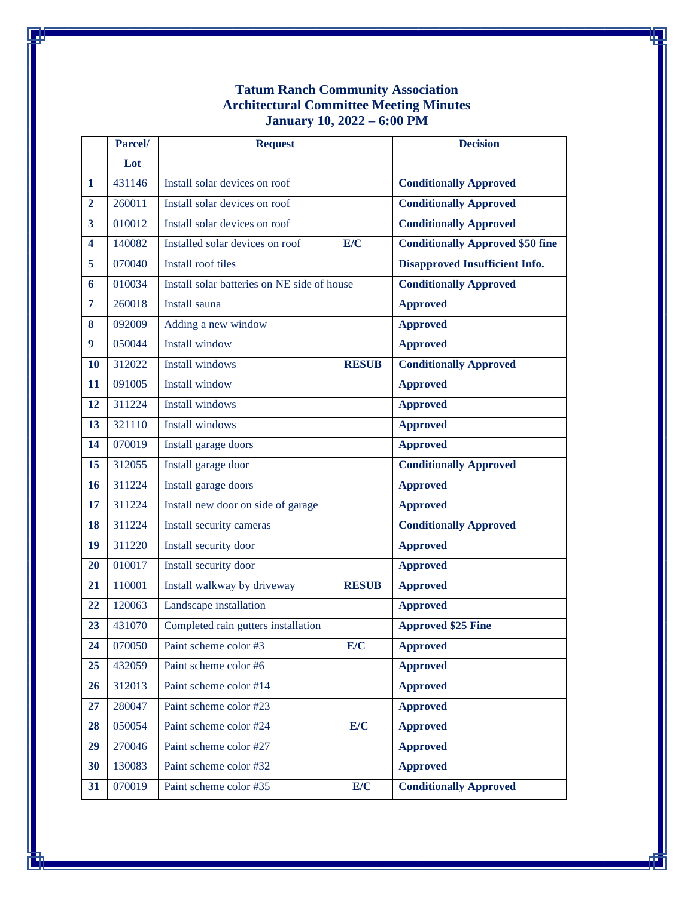## **Tatum Ranch Community Association Architectural Committee Meeting Minutes January 10, 2022 – 6:00 PM**

|                         | Parcel/ | <b>Request</b>                              |              | <b>Decision</b>                         |
|-------------------------|---------|---------------------------------------------|--------------|-----------------------------------------|
|                         | Lot     |                                             |              |                                         |
| $\mathbf{1}$            | 431146  | Install solar devices on roof               |              | <b>Conditionally Approved</b>           |
| $\overline{2}$          | 260011  | Install solar devices on roof               |              | <b>Conditionally Approved</b>           |
| 3                       | 010012  | Install solar devices on roof               |              | <b>Conditionally Approved</b>           |
| $\overline{\mathbf{4}}$ | 140082  | Installed solar devices on roof             | E/C          | <b>Conditionally Approved \$50 fine</b> |
| 5                       | 070040  | Install roof tiles                          |              | <b>Disapproved Insufficient Info.</b>   |
| 6                       | 010034  | Install solar batteries on NE side of house |              | <b>Conditionally Approved</b>           |
| $\overline{7}$          | 260018  | Install sauna                               |              | <b>Approved</b>                         |
| 8                       | 092009  | Adding a new window                         |              | <b>Approved</b>                         |
| 9                       | 050044  | <b>Install window</b>                       |              | <b>Approved</b>                         |
| <b>10</b>               | 312022  | <b>Install windows</b>                      | <b>RESUB</b> | <b>Conditionally Approved</b>           |
| 11                      | 091005  | <b>Install window</b>                       |              | <b>Approved</b>                         |
| 12                      | 311224  | Install windows                             |              | <b>Approved</b>                         |
| 13                      | 321110  | <b>Install windows</b>                      |              | <b>Approved</b>                         |
| 14                      | 070019  | Install garage doors                        |              | <b>Approved</b>                         |
| 15                      | 312055  | Install garage door                         |              | <b>Conditionally Approved</b>           |
| 16                      | 311224  | Install garage doors                        |              | <b>Approved</b>                         |
| 17                      | 311224  | Install new door on side of garage          |              | <b>Approved</b>                         |
| 18                      | 311224  | Install security cameras                    |              | <b>Conditionally Approved</b>           |
| 19                      | 311220  | Install security door                       |              | <b>Approved</b>                         |
| 20                      | 010017  | Install security door                       |              | <b>Approved</b>                         |
| 21                      | 110001  | Install walkway by driveway                 | <b>RESUB</b> | <b>Approved</b>                         |
| 22                      | 120063  | Landscape installation                      |              | <b>Approved</b>                         |
| 23                      | 431070  | Completed rain gutters installation         |              | <b>Approved \$25 Fine</b>               |
| 24                      | 070050  | Paint scheme color #3                       | E/C          | <b>Approved</b>                         |
| 25                      | 432059  | Paint scheme color #6                       |              | <b>Approved</b>                         |
| 26                      | 312013  | Paint scheme color #14                      |              | <b>Approved</b>                         |
| 27                      | 280047  | Paint scheme color #23                      |              | <b>Approved</b>                         |
| 28                      | 050054  | Paint scheme color #24                      | E/C          | <b>Approved</b>                         |
| 29                      | 270046  | Paint scheme color #27                      |              | <b>Approved</b>                         |
| 30                      | 130083  | Paint scheme color #32                      |              | <b>Approved</b>                         |
| 31                      | 070019  | Paint scheme color #35                      | E/C          | <b>Conditionally Approved</b>           |